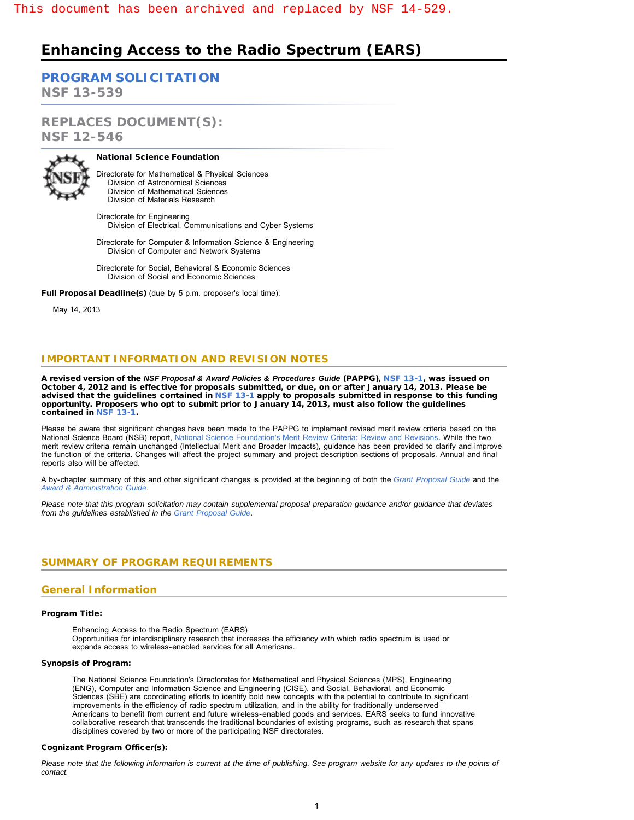# **Enhancing Access to the Radio Spectrum (EARS)**

**[PROGRAM SOLICITATION](#page-2-0) NSF 13-539**

**REPLACES DOCUMENT(S): NSF 12-546**



National Science Foundation

Directorate for Mathematical & Physical Sciences Division of Astronomical Sciences Division of Mathematical Sciences Division of Materials Research

Directorate for Engineering Division of Electrical, Communications and Cyber Systems

Directorate for Computer & Information Science & Engineering Division of Computer and Network Systems

Directorate for Social, Behavioral & Economic Sciences Division of Social and Economic Sciences

Full Proposal Deadline(s) (due by 5 p.m. proposer's local time):

May 14, 2013

# **IMPORTANT INFORMATION AND REVISION NOTES**

A revised version of the *NSF Proposal & Award Policies & Procedures Guide* (PAPPG)*,* [NSF 13-1,](http://www.nsf.gov/publications/pub_summ.jsp?ods_key=nsf13001) was issued on October 4, 2012 and is effective for proposals submitted, or due, on or after January 14, 2013. Please be advised that the guidelines contained in [NSF 13-1](http://www.nsf.gov/publications/pub_summ.jsp?ods_key=nsf13001) apply to proposals submitted in response to this funding opportunity. Proposers who opt to submit prior to January 14, 2013, must also follow the guidelines contained in [NSF 13-1](http://www.nsf.gov/publications/pub_summ.jsp?ods_key=nsf13001).

Please be aware that significant changes have been made to the PAPPG to implement revised merit review criteria based on the National Science Board (NSB) report, [National Science Foundation's Merit Review Criteria: Review and Revisions.](http://www.nsf.gov/nsb/publications/2011/meritreviewcriteria.pdf) While the two merit review criteria remain unchanged (Intellectual Merit and Broader Impacts), guidance has been provided to clarify and improve the function of the criteria. Changes will affect the project summary and project description sections of proposals. Annual and final reports also will be affected.

A by-chapter summary of this and other significant changes is provided at the beginning of both the *[Grant Proposal Guide](http://www.nsf.gov/pubs/policydocs/pappguide/nsf13001/gpg_sigchanges.jsp)* and the *[Award & Administration Guide](http://www.nsf.gov/pubs/policydocs/pappguide/nsf13001/aag_sigchanges.jsp)*.

*Please note that this program solicitation may contain supplemental proposal preparation guidance and/or guidance that deviates from the guidelines established in the [Grant Proposal Guide](http://www.nsf.gov/pubs/policydocs/pappguide/nsf13001/gpg_index.jsp).*

# <span id="page-0-0"></span>**SUMMARY OF PROGRAM REQUIREMENTS**

# **General Information**

#### Program Title:

Enhancing Access to the Radio Spectrum (EARS)

Opportunities for interdisciplinary research that increases the efficiency with which radio spectrum is used or expands access to wireless-enabled services for all Americans.

#### Synopsis of Program:

The National Science Foundation's Directorates for Mathematical and Physical Sciences (MPS), Engineering (ENG), Computer and Information Science and Engineering (CISE), and Social, Behavioral, and Economic Sciences (SBE) are coordinating efforts to identify bold new concepts with the potential to contribute to significant improvements in the efficiency of radio spectrum utilization, and in the ability for traditionally underserved Americans to benefit from current and future wireless-enabled goods and services. EARS seeks to fund innovative collaborative research that transcends the traditional boundaries of existing programs, such as research that spans disciplines covered by two or more of the participating NSF directorates.

#### Cognizant Program Officer(s):

*Please note that the following information is current at the time of publishing. See program website for any updates to the points of contact.*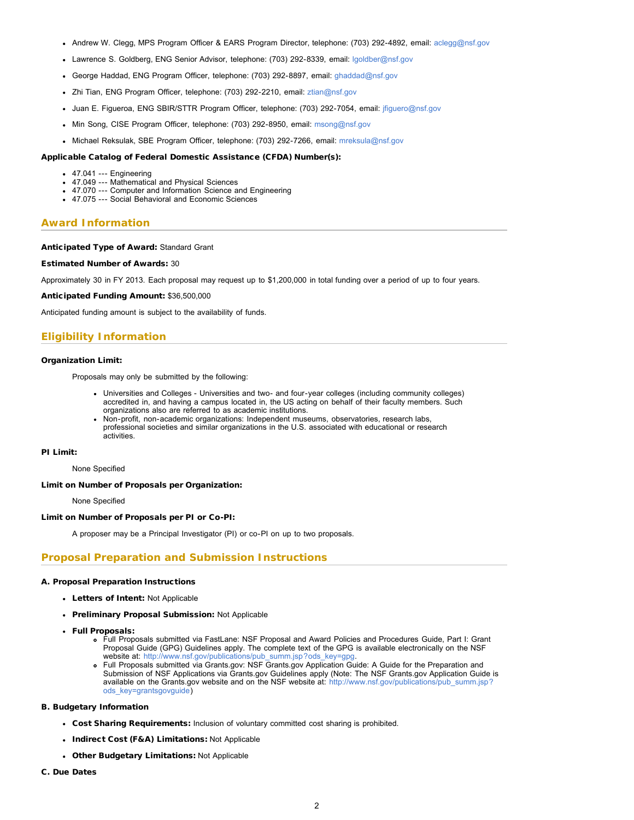- Andrew W. Clegg, MPS Program Officer & EARS Program Director, telephone: (703) 292-4892, email: [aclegg@nsf.gov](mailto:aclegg@nsf.gov)
- Lawrence S. Goldberg, ENG Senior Advisor, telephone: (703) 292-8339, email: [lgoldber@nsf.gov](mailto:lgoldber@nsf.gov)
- George Haddad, ENG Program Officer, telephone: (703) 292-8897, email: [ghaddad@nsf.gov](mailto:ghaddad@nsf.gov)
- Zhi Tian, ENG Program Officer, telephone: (703) 292-2210, email: [ztian@nsf.gov](mailto:ztian@nsf.gov)
- Juan E. Figueroa, ENG SBIR/STTR Program Officer, telephone: (703) 292-7054, email: [jfiguero@nsf.gov](mailto:jfiguero@nsf.gov)
- Min Song, CISE Program Officer, telephone: (703) 292-8950, email: [msong@nsf.gov](mailto:msong@nsf.gov)
- Michael Reksulak, SBE Program Officer, telephone: (703) 292-7266, email: [mreksula@nsf.gov](mailto:mreksula@nsf.gov)

#### Applicable Catalog of Federal Domestic Assistance (CFDA) Number(s):

- 47.041 --- Engineering
- 47.049 --- Mathematical and Physical Sciences
- 47.070 --- Computer and Information Science and Engineering
- 47.075 --- Social Behavioral and Economic Sciences

#### **Award Information**

#### Anticipated Type of Award: Standard Grant

#### Estimated Number of Awards: 30

Approximately 30 in FY 2013. Each proposal may request up to \$1,200,000 in total funding over a period of up to four years.

Anticipated Funding Amount: \$36,500,000

Anticipated funding amount is subject to the availability of funds.

### **Eligibility Information**

#### Organization Limit:

Proposals may only be submitted by the following:

- Universities and Colleges Universities and two- and four-year colleges (including community colleges) accredited in, and having a campus located in, the US acting on behalf of their faculty members. Such organizations also are referred to as academic institutions.
- Non-profit, non-academic organizations: Independent museums, observatories, research labs, professional societies and similar organizations in the U.S. associated with educational or research activities.

#### PI Limit:

None Specified

#### Limit on Number of Proposals per Organization:

None Specified

#### Limit on Number of Proposals per PI or Co-PI:

A proposer may be a Principal Investigator (PI) or co-PI on up to two proposals.

### **Proposal Preparation and Submission Instructions**

#### A. Proposal Preparation Instructions

- Letters of Intent: Not Applicable
- Preliminary Proposal Submission: Not Applicable
- Full Proposals:
	- Full Proposals submitted via FastLane: NSF Proposal and Award Policies and Procedures Guide, Part I: Grant Proposal Guide (GPG) Guidelines apply. The complete text of the GPG is available electronically on the NSF website at: [http://www.nsf.gov/publications/pub\\_summ.jsp?ods\\_key=gpg.](http://www.nsf.gov/publications/pub_summ.jsp?ods_key=gpg)
	- Full Proposals submitted via Grants.gov: NSF Grants.gov Application Guide: A Guide for the Preparation and Submission of NSF Applications via Grants.gov Guidelines apply (Note: The NSF Grants.gov Application Guide is available on the Grants.gov website and on the NSF website at: [http://www.nsf.gov/publications/pub\\_summ.jsp?](http://www.nsf.gov/publications/pub_summ.jsp?ods_key=grantsgovguide) [ods\\_key=grantsgovguide\)](http://www.nsf.gov/publications/pub_summ.jsp?ods_key=grantsgovguide)

#### B. Budgetary Information

- Cost Sharing Requirements: Inclusion of voluntary committed cost sharing is prohibited.
- Indirect Cost (F&A) Limitations: Not Applicable
- Other Budgetary Limitations: Not Applicable
- C. Due Dates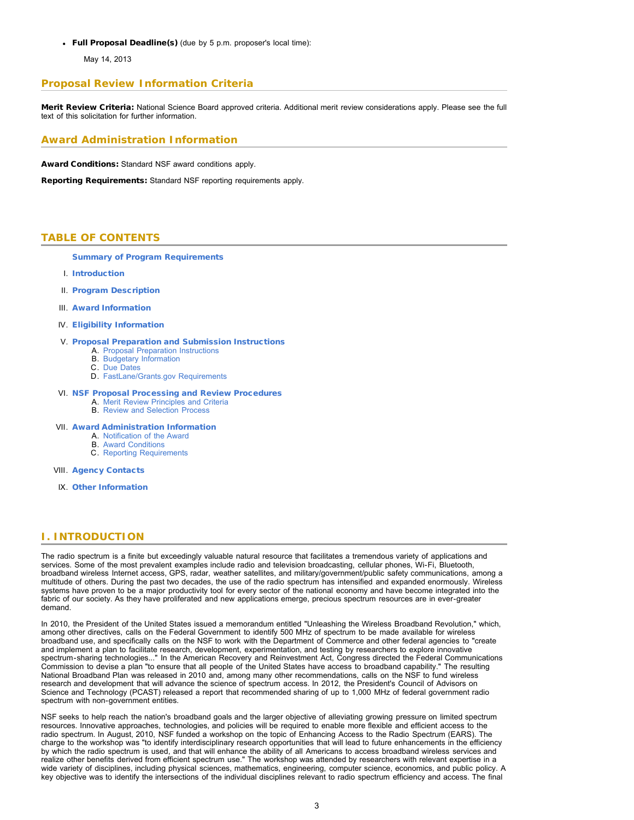Full Proposal Deadline(s) (due by 5 p.m. proposer's local time):

May 14, 2013

# **Proposal Review Information Criteria**

Merit Review Criteria: National Science Board approved criteria. Additional merit review considerations apply. Please see the full text of this solicitation for further information.

# **Award Administration Information**

Award Conditions: Standard NSF award conditions apply.

<span id="page-2-0"></span>Reporting Requirements: Standard NSF reporting requirements apply.

### **TABLE OF CONTENTS**

[Summary of Program Requirements](#page-0-0)

- I. [Introduction](#page-2-1)
- II. [Program Description](#page-3-0)
- III. [Award Information](#page-4-0)
- IV. [Eligibility Information](#page-4-1)

#### V. [Proposal Preparation and Submission Instructions](#page-4-2)

- A. [Proposal Preparation Instructions](#page-4-2)
- B. [Budgetary Information](#page-5-0)
- C. [Due Dates](#page-5-1)
- D. [FastLane/Grants.gov Requirements](#page-5-2)

### VI. [NSF Proposal Processing and Review Procedures](#page-5-3)

- A. [Merit Review Principles and Criteria](#page-6-0) B. [Review and Selection Process](#page-7-0)
- 

#### VII. [Award Administration Information](#page-7-1)

- A. [Notification of the Award](#page-7-2)
- B. [Award Conditions](#page-7-3) C. [Reporting Requirements](#page-7-4)
- 
- VIII. [Agency Contacts](#page-8-0)
- IX. [Other Information](#page-8-1)

### <span id="page-2-1"></span>**I. INTRODUCTION**

The radio spectrum is a finite but exceedingly valuable natural resource that facilitates a tremendous variety of applications and services. Some of the most prevalent examples include radio and television broadcasting, cellular phones, Wi-Fi, Bluetooth, broadband wireless Internet access, GPS, radar, weather satellites, and military/government/public safety communications, among a multitude of others. During the past two decades, the use of the radio spectrum has intensified and expanded enormously. Wireless systems have proven to be a major productivity tool for every sector of the national economy and have become integrated into the fabric of our society. As they have proliferated and new applications emerge, precious spectrum resources are in ever-greater demand.

In 2010, the President of the United States issued a memorandum entitled "Unleashing the Wireless Broadband Revolution," which, among other directives, calls on the Federal Government to identify 500 MHz of spectrum to be made available for wireless broadband use, and specifically calls on the NSF to work with the Department of Commerce and other federal agencies to "create and implement a plan to facilitate research, development, experimentation, and testing by researchers to explore innovative spectrum-sharing technologies..." In the American Recovery and Reinvestment Act, Congress directed the Federal Communications Commission to devise a plan "to ensure that all people of the United States have access to broadband capability." The resulting National Broadband Plan was released in 2010 and, among many other recommendations, calls on the NSF to fund wireless research and development that will advance the science of spectrum access. In 2012, the President's Council of Advisors on Science and Technology (PCAST) released a report that recommended sharing of up to 1,000 MHz of federal government radio spectrum with non-government entities.

NSF seeks to help reach the nation's broadband goals and the larger objective of alleviating growing pressure on limited spectrum resources. Innovative approaches, technologies, and policies will be required to enable more flexible and efficient access to the radio spectrum. In August, 2010, NSF funded a workshop on the topic of Enhancing Access to the Radio Spectrum (EARS). The charge to the workshop was "to identify interdisciplinary research opportunities that will lead to future enhancements in the efficiency by which the radio spectrum is used, and that will enhance the ability of all Americans to access broadband wireless services and realize other benefits derived from efficient spectrum use." The workshop was attended by researchers with relevant expertise in a wide variety of disciplines, including physical sciences, mathematics, engineering, computer science, economics, and public policy. A key objective was to identify the intersections of the individual disciplines relevant to radio spectrum efficiency and access. The final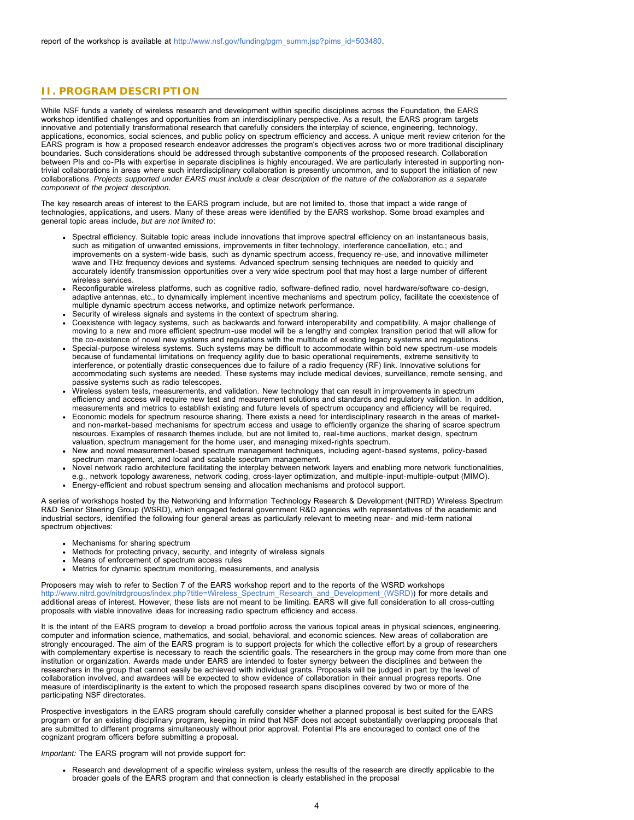# <span id="page-3-0"></span>**II. PROGRAM DESCRIPTION**

While NSF funds a variety of wireless research and development within specific disciplines across the Foundation, the EARS workshop identified challenges and opportunities from an interdisciplinary perspective. As a result, the EARS program targets innovative and potentially transformational research that carefully considers the interplay of science, engineering, technology, applications, economics, social sciences, and public policy on spectrum efficiency and access. A unique merit review criterion for the EARS program is how a proposed research endeavor addresses the program's objectives across two or more traditional disciplinary boundaries. Such considerations should be addressed through substantive components of the proposed research. Collaboration between PIs and co-PIs with expertise in separate disciplines is highly encouraged. We are particularly interested in supporting nontrivial collaborations in areas where such interdisciplinary collaboration is presently uncommon, and to support the initiation of new collaborations. *Projects supported under EARS must include a clear description of the nature of the collaboration as a separate component of the project description.*

The key research areas of interest to the EARS program include, but are not limited to, those that impact a wide range of technologies, applications, and users. Many of these areas were identified by the EARS workshop. Some broad examples and general topic areas include, *but are not limited to*:

- Spectral efficiency. Suitable topic areas include innovations that improve spectral efficiency on an instantaneous basis, such as mitigation of unwanted emissions, improvements in filter technology, interference cancellation, etc.; and improvements on a system-wide basis, such as dynamic spectrum access, frequency re-use, and innovative millimeter wave and THz frequency devices and systems. Advanced spectrum sensing techniques are needed to quickly and accurately identify transmission opportunities over a very wide spectrum pool that may host a large number of different wireless services.
- Reconfigurable wireless platforms, such as cognitive radio, software-defined radio, novel hardware/software co-design, adaptive antennas, etc., to dynamically implement incentive mechanisms and spectrum policy, facilitate the coexistence of multiple dynamic spectrum access networks, and optimize network performance.
- Security of wireless signals and systems in the context of spectrum sharing.
- Coexistence with legacy systems, such as backwards and forward interoperability and compatibility. A major challenge of moving to a new and more efficient spectrum-use model will be a lengthy and complex transition period that will allow for the co-existence of novel new systems and regulations with the multitude of existing legacy systems and regulations.
- Special-purpose wireless systems. Such systems may be difficult to accommodate within bold new spectrum-use models because of fundamental limitations on frequency agility due to basic operational requirements, extreme sensitivity to interference, or potentially drastic consequences due to failure of a radio frequency (RF) link. Innovative solutions for accommodating such systems are needed. These systems may include medical devices, surveillance, remote sensing, and passive systems such as radio telescopes.
- Wireless system tests, measurements, and validation. New technology that can result in improvements in spectrum efficiency and access will require new test and measurement solutions and standards and regulatory validation. In addition, measurements and metrics to establish existing and future levels of spectrum occupancy and efficiency will be required.
- Economic models for spectrum resource sharing. There exists a need for interdisciplinary research in the areas of marketand non-market-based mechanisms for spectrum access and usage to efficiently organize the sharing of scarce spectrum resources. Examples of research themes include, but are not limited to, real-time auctions, market design, spectrum valuation, spectrum management for the home user, and managing mixed-rights spectrum.
- New and novel measurement-based spectrum management techniques, including agent-based systems, policy-based spectrum management, and local and scalable spectrum management.
- Novel network radio architecture facilitating the interplay between network layers and enabling more network functionalities, e.g., network topology awareness, network coding, cross-layer optimization, and multiple-input-multiple-output (MIMO).
- Energy-efficient and robust spectrum sensing and allocation mechanisms and protocol support.

A series of workshops hosted by the Networking and Information Technology Research & Development (NITRD) Wireless Spectrum R&D Senior Steering Group (WSRD), which engaged federal government R&D agencies with representatives of the academic and industrial sectors, identified the following four general areas as particularly relevant to meeting near- and mid-term national spectrum objectives:

- Mechanisms for sharing spectrum
- Methods for protecting privacy, security, and integrity of wireless signals
- Means of enforcement of spectrum access rules
- Metrics for dynamic spectrum monitoring, measurements, and analysis

Proposers may wish to refer to Section 7 of the EARS workshop report and to the reports of the WSRD workshops [http://www.nitrd.gov/nitrdgroups/index.php?title=Wireless\\_Spectrum\\_Research\\_and\\_Development\\_\(WSRD\)](http://www.nitrd.gov/nitrdgroups/index.php?title=Wireless_Spectrum_Research_and_Development_(WSRD))) for more details and additional areas of interest. However, these lists are not meant to be limiting. EARS will give full consideration to all cross-cutting proposals with viable innovative ideas for increasing radio spectrum efficiency and access.

It is the intent of the EARS program to develop a broad portfolio across the various topical areas in physical sciences, engineering, computer and information science, mathematics, and social, behavioral, and economic sciences. New areas of collaboration are strongly encouraged. The aim of the EARS program is to support projects for which the collective effort by a group of researchers with complementary expertise is necessary to reach the scientific goals. The researchers in the group may come from more than one institution or organization. Awards made under EARS are intended to foster synergy between the disciplines and between the researchers in the group that cannot easily be achieved with individual grants. Proposals will be judged in part by the level of collaboration involved, and awardees will be expected to show evidence of collaboration in their annual progress reports. One measure of interdisciplinarity is the extent to which the proposed research spans disciplines covered by two or more of the participating NSF directorates.

Prospective investigators in the EARS program should carefully consider whether a planned proposal is best suited for the EARS program or for an existing disciplinary program, keeping in mind that NSF does not accept substantially overlapping proposals that are submitted to different programs simultaneously without prior approval. Potential PIs are encouraged to contact one of the cognizant program officers before submitting a proposal.

*Important:* The EARS program will not provide support for:

Research and development of a specific wireless system, unless the results of the research are directly applicable to the broader goals of the EARS program and that connection is clearly established in the proposal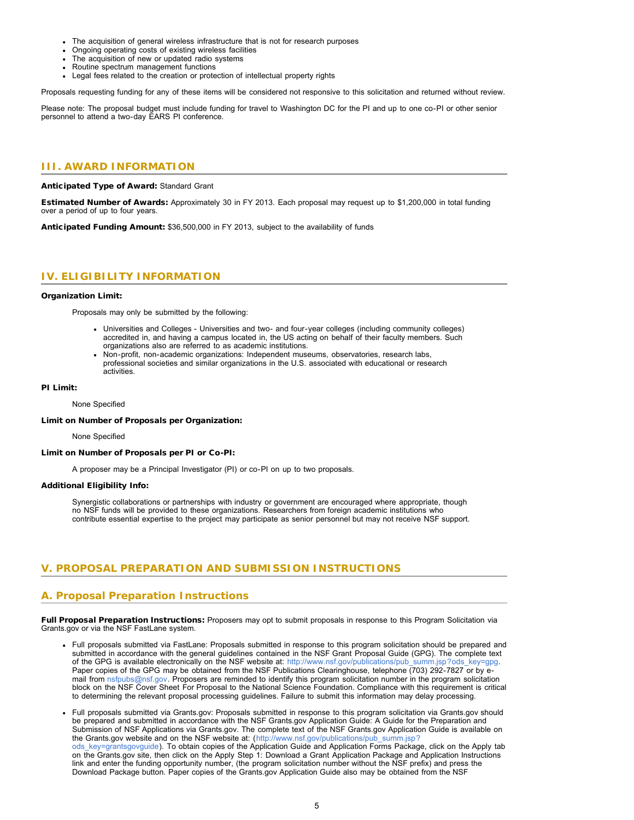- The acquisition of general wireless infrastructure that is not for research purposes
- Ongoing operating costs of existing wireless facilities
- The acquisition of new or updated radio systems
- Routine spectrum management functions
- Legal fees related to the creation or protection of intellectual property rights

Proposals requesting funding for any of these items will be considered not responsive to this solicitation and returned without review.

Please note: The proposal budget must include funding for travel to Washington DC for the PI and up to one co-PI or other senior personnel to attend a two-day EARS PI conference.

### <span id="page-4-0"></span>**III. AWARD INFORMATION**

Anticipated Type of Award: Standard Grant

Estimated Number of Awards: Approximately 30 in FY 2013. Each proposal may request up to \$1,200,000 in total funding over a period of up to four years.

Anticipated Funding Amount: \$36,500,000 in FY 2013, subject to the availability of funds

# <span id="page-4-1"></span>**IV. ELIGIBILITY INFORMATION**

#### Organization Limit:

Proposals may only be submitted by the following:

- Universities and Colleges Universities and two- and four-year colleges (including community colleges) accredited in, and having a campus located in, the US acting on behalf of their faculty members. Such organizations also are referred to as academic institutions.
- Non-profit, non-academic organizations: Independent museums, observatories, research labs, professional societies and similar organizations in the U.S. associated with educational or research activities.

#### PI Limit:

None Specified

#### Limit on Number of Proposals per Organization:

None Specified

#### Limit on Number of Proposals per PI or Co-PI:

A proposer may be a Principal Investigator (PI) or co-PI on up to two proposals.

#### Additional Eligibility Info:

Synergistic collaborations or partnerships with industry or government are encouraged where appropriate, though no NSF funds will be provided to these organizations. Researchers from foreign academic institutions who contribute essential expertise to the project may participate as senior personnel but may not receive NSF support.

### <span id="page-4-2"></span>**V. PROPOSAL PREPARATION AND SUBMISSION INSTRUCTIONS**

### **A. Proposal Preparation Instructions**

Full Proposal Preparation Instructions: Proposers may opt to submit proposals in response to this Program Solicitation via Grants.gov or via the NSF FastLane system.

- Full proposals submitted via FastLane: Proposals submitted in response to this program solicitation should be prepared and submitted in accordance with the general guidelines contained in the NSF Grant Proposal Guide (GPG). The complete text of the GPG is available electronically on the NSF website at: [http://www.nsf.gov/publications/pub\\_summ.jsp?ods\\_key=gpg.](http://www.nsf.gov/publications/pub_summ.jsp?ods_key=gpg) Paper copies of the GPG may be obtained from the NSF Publications Clearinghouse, telephone (703) 292-7827 or by email from [nsfpubs@nsf.gov.](mailto:nsfpubs@nsf.gov) Proposers are reminded to identify this program solicitation number in the program solicitation block on the NSF Cover Sheet For Proposal to the National Science Foundation. Compliance with this requirement is critical to determining the relevant proposal processing guidelines. Failure to submit this information may delay processing.
- Full proposals submitted via Grants.gov: Proposals submitted in response to this program solicitation via Grants.gov should be prepared and submitted in accordance with the NSF Grants.gov Application Guide: A Guide for the Preparation and Submission of NSF Applications via Grants.gov. The complete text of the NSF Grants.gov Application Guide is available on the Grants.gov website and on the NSF website at: ([http://www.nsf.gov/publications/pub\\_summ.jsp?](http://www.nsf.gov/publications/pub_summ.jsp?ods_key=grantsgovguide) [ods\\_key=grantsgovguide\)](http://www.nsf.gov/publications/pub_summ.jsp?ods_key=grantsgovguide). To obtain copies of the Application Guide and Application Forms Package, click on the Apply tab on the Grants.gov site, then click on the Apply Step 1: Download a Grant Application Package and Application Instructions link and enter the funding opportunity number, (the program solicitation number without the NSF prefix) and press the Download Package button. Paper copies of the Grants.gov Application Guide also may be obtained from the NSF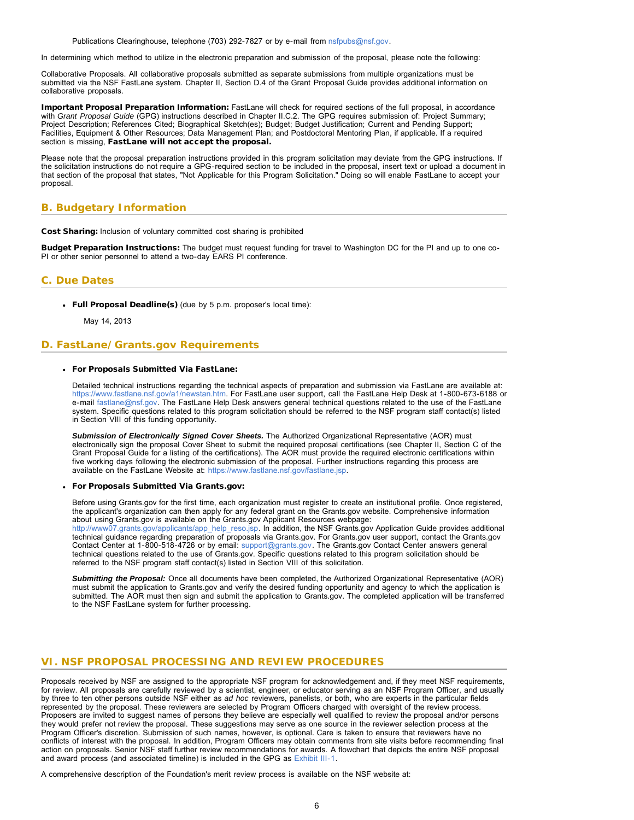Publications Clearinghouse, telephone (703) 292-7827 or by e-mail from [nsfpubs@nsf.gov.](mailto:nsfpubs@nsf.gov)

<span id="page-5-1"></span>In determining which method to utilize in the electronic preparation and submission of the proposal, please note the following:

Collaborative Proposals. All collaborative proposals submitted as separate submissions from multiple organizations must be submitted via the NSF FastLane system. Chapter II, Section D.4 of the Grant Proposal Guide provides additional information on collaborative proposals.

Important Proposal Preparation Information: FastLane will check for required sections of the full proposal, in accordance with *Grant Proposal Guide* (GPG) instructions described in Chapter II.C.2. The GPG requires submission of: Project Summary; Project Description; References Cited; Biographical Sketch(es); Budget; Budget Justification; Current and Pending Support; Facilities, Equipment & Other Resources; Data Management Plan; and Postdoctoral Mentoring Plan, if applicable. If a required section is missing, FastLane will not accept the proposal.

Please note that the proposal preparation instructions provided in this program solicitation may deviate from the GPG instructions. If the solicitation instructions do not require a GPG-required section to be included in the proposal, insert text or upload a document in that section of the proposal that states, "Not Applicable for this Program Solicitation." Doing so will enable FastLane to accept your proposal.

# <span id="page-5-0"></span>**B. Budgetary Information**

Cost Sharing: Inclusion of voluntary committed cost sharing is prohibited

Budget Preparation Instructions: The budget must request funding for travel to Washington DC for the PI and up to one co-PI or other senior personnel to attend a two-day EARS PI conference.

### **C. Due Dates**

Full Proposal Deadline(s) (due by 5 p.m. proposer's local time):

May 14, 2013

### <span id="page-5-2"></span>**D. FastLane/Grants.gov Requirements**

### For Proposals Submitted Via FastLane:

Detailed technical instructions regarding the technical aspects of preparation and submission via FastLane are available at: [https://www.fastlane.nsf.gov/a1/newstan.htm.](https://www.fastlane.nsf.gov/a1/newstan.htm) For FastLane user support, call the FastLane Help Desk at 1-800-673-6188 or e-mail [fastlane@nsf.gov.](mailto:fastlane@nsf.gov) The FastLane Help Desk answers general technical questions related to the use of the FastLane system. Specific questions related to this program solicitation should be referred to the NSF program staff contact(s) listed in Section VIII of this funding opportunity.

*Submission of Electronically Signed Cover Sheets.* The Authorized Organizational Representative (AOR) must electronically sign the proposal Cover Sheet to submit the required proposal certifications (see Chapter II, Section C of the Grant Proposal Guide for a listing of the certifications). The AOR must provide the required electronic certifications within five working days following the electronic submission of the proposal. Further instructions regarding this process are available on the FastLane Website at: [https://www.fastlane.nsf.gov/fastlane.jsp.](https://www.fastlane.nsf.gov/fastlane.jsp)

For Proposals Submitted Via Grants.gov:

Before using Grants.gov for the first time, each organization must register to create an institutional profile. Once registered, the applicant's organization can then apply for any federal grant on the Grants.gov website. Comprehensive information about using Grants.gov is available on the Grants.gov Applicant Resources webpage:

[http://www07.grants.gov/applicants/app\\_help\\_reso.jsp.](http://www07.grants.gov/applicants/app_help_reso.jsp) In addition, the NSF Grants.gov Application Guide provides additional technical guidance regarding preparation of proposals via Grants.gov. For Grants.gov user support, contact the Grants.gov Contact Center at 1-800-518-4726 or by email: [support@grants.gov](mailto:support@grants.gov). The Grants.gov Contact Center answers general technical questions related to the use of Grants.gov. Specific questions related to this program solicitation should be referred to the NSF program staff contact(s) listed in Section VIII of this solicitation.

*Submitting the Proposal:* Once all documents have been completed, the Authorized Organizational Representative (AOR) must submit the application to Grants.gov and verify the desired funding opportunity and agency to which the application is submitted. The AOR must then sign and submit the application to Grants.gov. The completed application will be transferred to the NSF FastLane system for further processing.

# <span id="page-5-3"></span>**VI. NSF PROPOSAL PROCESSING AND REVIEW PROCEDURES**

Proposals received by NSF are assigned to the appropriate NSF program for acknowledgement and, if they meet NSF requirements, for review. All proposals are carefully reviewed by a scientist, engineer, or educator serving as an NSF Program Officer, and usually by three to ten other persons outside NSF either as *ad hoc* reviewers, panelists, or both, who are experts in the particular fields represented by the proposal. These reviewers are selected by Program Officers charged with oversight of the review process. Proposers are invited to suggest names of persons they believe are especially well qualified to review the proposal and/or persons they would prefer not review the proposal. These suggestions may serve as one source in the reviewer selection process at the Program Officer's discretion. Submission of such names, however, is optional. Care is taken to ensure that reviewers have no conflicts of interest with the proposal. In addition, Program Officers may obtain comments from site visits before recommending final action on proposals. Senior NSF staff further review recommendations for awards. A flowchart that depicts the entire NSF proposal and award process (and associated timeline) is included in the GPG as [Exhibit III-1](http://www.nsf.gov/pubs/policydocs/pappguide/nsf13001/gpg_3ex1.pdf).

A comprehensive description of the Foundation's merit review process is available on the NSF website at: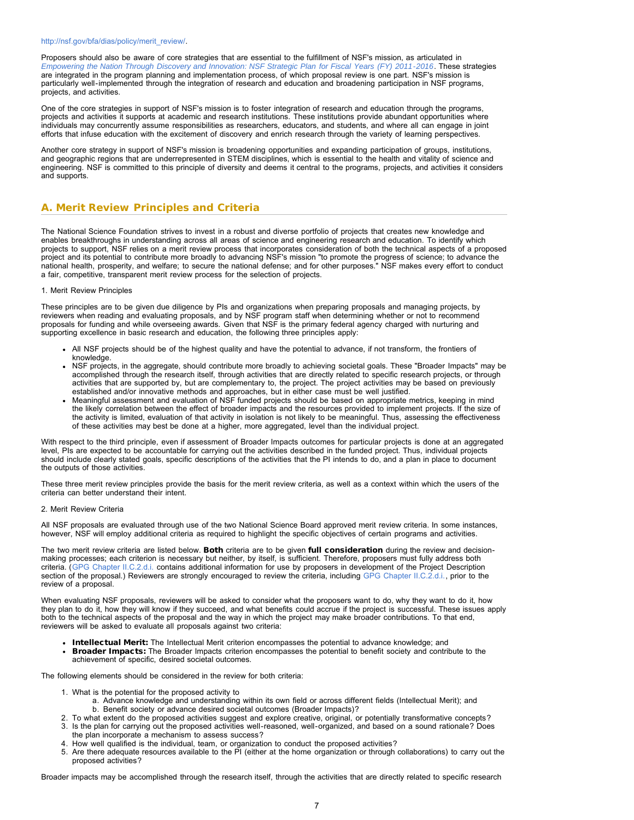#### [http://nsf.gov/bfa/dias/policy/merit\\_review/.](http://nsf.gov/bfa/dias/policy/merit_review/)

Proposers should also be aware of core strategies that are essential to the fulfillment of NSF's mission, as articulated in *[Empowering the Nation Through Discovery and Innovation: NSF Strategic Plan for Fiscal Years \(FY\) 2011-2016](http://www.nsf.gov/news/strategicplan/nsfstrategicplan_2011_2016.pdf)*. These strategies are integrated in the program planning and implementation process, of which proposal review is one part. NSF's mission is particularly well-implemented through the integration of research and education and broadening participation in NSF programs, projects, and activities.

One of the core strategies in support of NSF's mission is to foster integration of research and education through the programs, projects and activities it supports at academic and research institutions. These institutions provide abundant opportunities where individuals may concurrently assume responsibilities as researchers, educators, and students, and where all can engage in joint efforts that infuse education with the excitement of discovery and enrich research through the variety of learning perspectives.

Another core strategy in support of NSF's mission is broadening opportunities and expanding participation of groups, institutions, and geographic regions that are underrepresented in STEM disciplines, which is essential to the health and vitality of science and engineering. NSF is committed to this principle of diversity and deems it central to the programs, projects, and activities it considers and supports.

# <span id="page-6-0"></span>**A. Merit Review Principles and Criteria**

The National Science Foundation strives to invest in a robust and diverse portfolio of projects that creates new knowledge and enables breakthroughs in understanding across all areas of science and engineering research and education. To identify which projects to support, NSF relies on a merit review process that incorporates consideration of both the technical aspects of a proposed project and its potential to contribute more broadly to advancing NSF's mission "to promote the progress of science; to advance the national health, prosperity, and welfare; to secure the national defense; and for other purposes." NSF makes every effort to conduct a fair, competitive, transparent merit review process for the selection of projects.

#### 1. Merit Review Principles

These principles are to be given due diligence by PIs and organizations when preparing proposals and managing projects, by reviewers when reading and evaluating proposals, and by NSF program staff when determining whether or not to recommend proposals for funding and while overseeing awards. Given that NSF is the primary federal agency charged with nurturing and supporting excellence in basic research and education, the following three principles apply:

- All NSF projects should be of the highest quality and have the potential to advance, if not transform, the frontiers of knowledge.
- NSF projects, in the aggregate, should contribute more broadly to achieving societal goals. These "Broader Impacts" may be accomplished through the research itself, through activities that are directly related to specific research projects, or through activities that are supported by, but are complementary to, the project. The project activities may be based on previously established and/or innovative methods and approaches, but in either case must be well justified.
- Meaningful assessment and evaluation of NSF funded projects should be based on appropriate metrics, keeping in mind the likely correlation between the effect of broader impacts and the resources provided to implement projects. If the size of the activity is limited, evaluation of that activity in isolation is not likely to be meaningful. Thus, assessing the effectiveness of these activities may best be done at a higher, more aggregated, level than the individual project.

With respect to the third principle, even if assessment of Broader Impacts outcomes for particular projects is done at an aggregated level, PIs are expected to be accountable for carrying out the activities described in the funded project. Thus, individual projects should include clearly stated goals, specific descriptions of the activities that the PI intends to do, and a plan in place to document the outputs of those activities.

These three merit review principles provide the basis for the merit review criteria, as well as a context within which the users of the criteria can better understand their intent.

#### 2. Merit Review Criteria

All NSF proposals are evaluated through use of the two National Science Board approved merit review criteria. In some instances, however, NSF will employ additional criteria as required to highlight the specific objectives of certain programs and activities.

The two merit review criteria are listed below. Both criteria are to be given full consideration during the review and decisionmaking processes; each criterion is necessary but neither, by itself, is sufficient. Therefore, proposers must fully address both criteria. ([GPG Chapter II.C.2.d.i.](http://www.nsf.gov/pubs/policydocs/pappguide/nsf13001/gpg_2.jsp#IIC2di) contains additional information for use by proposers in development of the Project Description section of the proposal.) Reviewers are strongly encouraged to review the criteria, including [GPG Chapter II.C.2.d.i.,](http://www.nsf.gov/pubs/policydocs/pappguide/nsf13001/gpg_2.jsp#IIC2di) prior to the review of a proposal.

When evaluating NSF proposals, reviewers will be asked to consider what the proposers want to do, why they want to do it, how they plan to do it, how they will know if they succeed, and what benefits could accrue if the project is successful. These issues apply both to the technical aspects of the proposal and the way in which the project may make broader contributions. To that end, reviewers will be asked to evaluate all proposals against two criteria:

- Intellectual Merit: The Intellectual Merit criterion encompasses the potential to advance knowledge; and
- Broader Impacts: The Broader Impacts criterion encompasses the potential to benefit society and contribute to the achievement of specific, desired societal outcomes.

The following elements should be considered in the review for both criteria:

- 1. What is the potential for the proposed activity to
	- a. Advance knowledge and understanding within its own field or across different fields (Intellectual Merit); and b. Benefit society or advance desired societal outcomes (Broader Impacts)?
- 2. To what extent do the proposed activities suggest and explore creative, original, or potentially transformative concepts?
- 3. Is the plan for carrying out the proposed activities well-reasoned, well-organized, and based on a sound rationale? Does the plan incorporate a mechanism to assess success?
- 4. How well qualified is the individual, team, or organization to conduct the proposed activities?
- 5. Are there adequate resources available to the PI (either at the home organization or through collaborations) to carry out the proposed activities?

Broader impacts may be accomplished through the research itself, through the activities that are directly related to specific research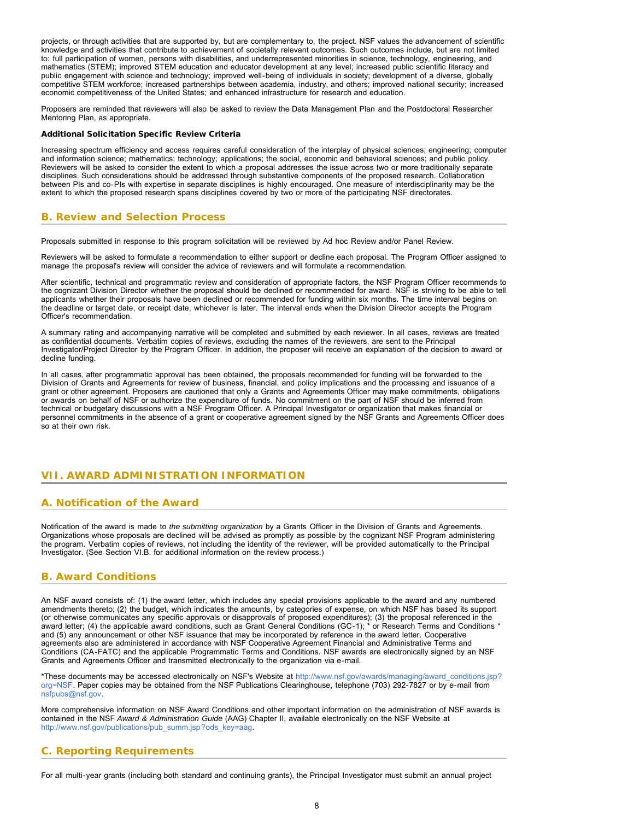projects, or through activities that are supported by, but are complementary to, the project. NSF values the advancement of scientific knowledge and activities that contribute to achievement of societally relevant outcomes. Such outcomes include, but are not limited to: full participation of women, persons with disabilities, and underrepresented minorities in science, technology, engineering, and mathematics (STEM); improved STEM education and educator development at any level; increased public scientific literacy and public engagement with science and technology; improved well-being of individuals in society; development of a diverse, globally competitive STEM workforce; increased partnerships between academia, industry, and others; improved national security; increased economic competitiveness of the United States; and enhanced infrastructure for research and education.

Proposers are reminded that reviewers will also be asked to review the Data Management Plan and the Postdoctoral Researcher Mentoring Plan, as appropriate.

#### Additional Solicitation Specific Review Criteria

Increasing spectrum efficiency and access requires careful consideration of the interplay of physical sciences; engineering; computer and information science; mathematics; technology; applications; the social, economic and behavioral sciences; and public policy. Reviewers will be asked to consider the extent to which a proposal addresses the issue across two or more traditionally separate disciplines. Such considerations should be addressed through substantive components of the proposed research. Collaboration between PIs and co-PIs with expertise in separate disciplines is highly encouraged. One measure of interdisciplinarity may be the extent to which the proposed research spans disciplines covered by two or more of the participating NSF directorates.

# <span id="page-7-0"></span>**B. Review and Selection Process**

Proposals submitted in response to this program solicitation will be reviewed by Ad hoc Review and/or Panel Review.

Reviewers will be asked to formulate a recommendation to either support or decline each proposal. The Program Officer assigned to manage the proposal's review will consider the advice of reviewers and will formulate a recommendation.

After scientific, technical and programmatic review and consideration of appropriate factors, the NSF Program Officer recommends to the cognizant Division Director whether the proposal should be declined or recommended for award. NSF is striving to be able to tell applicants whether their proposals have been declined or recommended for funding within six months. The time interval begins on the deadline or target date, or receipt date, whichever is later. The interval ends when the Division Director accepts the Program Officer's recommendation.

A summary rating and accompanying narrative will be completed and submitted by each reviewer. In all cases, reviews are treated as confidential documents. Verbatim copies of reviews, excluding the names of the reviewers, are sent to the Principal Investigator/Project Director by the Program Officer. In addition, the proposer will receive an explanation of the decision to award or decline funding.

In all cases, after programmatic approval has been obtained, the proposals recommended for funding will be forwarded to the Division of Grants and Agreements for review of business, financial, and policy implications and the processing and issuance of a grant or other agreement. Proposers are cautioned that only a Grants and Agreements Officer may make commitments, obligations or awards on behalf of NSF or authorize the expenditure of funds. No commitment on the part of NSF should be inferred from technical or budgetary discussions with a NSF Program Officer. A Principal Investigator or organization that makes financial or personnel commitments in the absence of a grant or cooperative agreement signed by the NSF Grants and Agreements Officer does so at their own risk.

# <span id="page-7-1"></span>**VII. AWARD ADMINISTRATION INFORMATION**

# <span id="page-7-2"></span>**A. Notification of the Award**

Notification of the award is made to *the submitting organization* by a Grants Officer in the Division of Grants and Agreements. Organizations whose proposals are declined will be advised as promptly as possible by the cognizant NSF Program administering the program. Verbatim copies of reviews, not including the identity of the reviewer, will be provided automatically to the Principal Investigator. (See Section VI.B. for additional information on the review process.)

# <span id="page-7-3"></span>**B. Award Conditions**

An NSF award consists of: (1) the award letter, which includes any special provisions applicable to the award and any numbered amendments thereto; (2) the budget, which indicates the amounts, by categories of expense, on which NSF has based its support (or otherwise communicates any specific approvals or disapprovals of proposed expenditures); (3) the proposal referenced in the award letter; (4) the applicable award conditions, such as Grant General Conditions (GC-1); \* or Research Terms and Conditions \* and (5) any announcement or other NSF issuance that may be incorporated by reference in the award letter. Cooperative agreements also are administered in accordance with NSF Cooperative Agreement Financial and Administrative Terms and Conditions (CA-FATC) and the applicable Programmatic Terms and Conditions. NSF awards are electronically signed by an NSF Grants and Agreements Officer and transmitted electronically to the organization via e-mail.

\*These documents may be accessed electronically on NSF's Website at [http://www.nsf.gov/awards/managing/award\\_conditions.jsp?](http://www.nsf.gov/awards/managing/award_conditions.jsp?org=NSF) [org=NSF.](http://www.nsf.gov/awards/managing/award_conditions.jsp?org=NSF) Paper copies may be obtained from the NSF Publications Clearinghouse, telephone (703) 292-7827 or by e-mail from [nsfpubs@nsf.gov.](mailto:nsfpubs@nsf.gov)

More comprehensive information on NSF Award Conditions and other important information on the administration of NSF awards is contained in the NSF *Award & Administration Guide* (AAG) Chapter II, available electronically on the NSF Website at [http://www.nsf.gov/publications/pub\\_summ.jsp?ods\\_key=aag.](http://www.nsf.gov/publications/pub_summ.jsp?ods_key=aag)

# <span id="page-7-4"></span>**C. Reporting Requirements**

For all multi-year grants (including both standard and continuing grants), the Principal Investigator must submit an annual project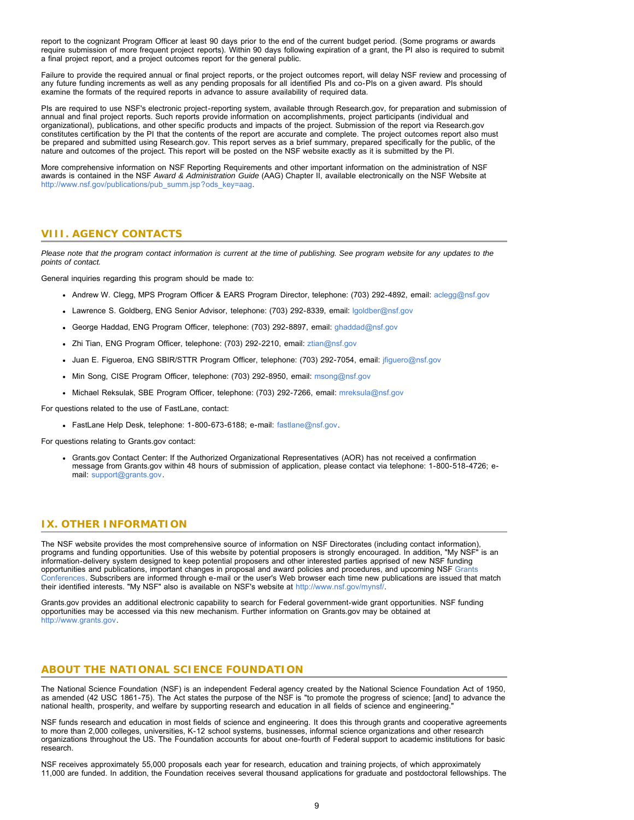report to the cognizant Program Officer at least 90 days prior to the end of the current budget period. (Some programs or awards require submission of more frequent project reports). Within 90 days following expiration of a grant, the PI also is required to submit a final project report, and a project outcomes report for the general public.

Failure to provide the required annual or final project reports, or the project outcomes report, will delay NSF review and processing of any future funding increments as well as any pending proposals for all identified PIs and co-PIs on a given award. PIs should examine the formats of the required reports in advance to assure availability of required data.

PIs are required to use NSF's electronic project-reporting system, available through Research.gov, for preparation and submission of annual and final project reports. Such reports provide information on accomplishments, project participants (individual and organizational), publications, and other specific products and impacts of the project. Submission of the report via Research.gov constitutes certification by the PI that the contents of the report are accurate and complete. The project outcomes report also must be prepared and submitted using Research.gov. This report serves as a brief summary, prepared specifically for the public, of the nature and outcomes of the project. This report will be posted on the NSF website exactly as it is submitted by the PI.

More comprehensive information on NSF Reporting Requirements and other important information on the administration of NSF awards is contained in the NSF *Award & Administration Guide* (AAG) Chapter II, available electronically on the NSF Website at [http://www.nsf.gov/publications/pub\\_summ.jsp?ods\\_key=aag.](http://www.nsf.gov/publications/pub_summ.jsp?ods_key=aag)

### <span id="page-8-0"></span>**VIII. AGENCY CONTACTS**

*Please note that the program contact information is current at the time of publishing. See program website for any updates to the points of contact.*

General inquiries regarding this program should be made to:

- Andrew W. Clegg, MPS Program Officer & EARS Program Director, telephone: (703) 292-4892, email: [aclegg@nsf.gov](mailto:aclegg@nsf.gov)
- Lawrence S. Goldberg, ENG Senior Advisor, telephone: (703) 292-8339, email: [lgoldber@nsf.gov](mailto:lgoldber@nsf.gov)
- George Haddad, ENG Program Officer, telephone: (703) 292-8897, email: [ghaddad@nsf.gov](mailto:ghaddad@nsf.gov)
- Zhi Tian, ENG Program Officer, telephone: (703) 292-2210, email: [ztian@nsf.gov](mailto:ztian@nsf.gov)
- Juan E. Figueroa, ENG SBIR/STTR Program Officer, telephone: (703) 292-7054, email: [jfiguero@nsf.gov](mailto:jfiguero@nsf.gov)
- Min Song, CISE Program Officer, telephone: (703) 292-8950, email: [msong@nsf.gov](mailto:msong@nsf.gov)
- Michael Reksulak, SBE Program Officer, telephone: (703) 292-7266, email: [mreksula@nsf.gov](mailto:mreksula@nsf.gov)

For questions related to the use of FastLane, contact:

FastLane Help Desk, telephone: 1-800-673-6188; e-mail: [fastlane@nsf.gov.](mailto:fastlane@nsf.gov)

For questions relating to Grants.gov contact:

Grants.gov Contact Center: If the Authorized Organizational Representatives (AOR) has not received a confirmation message from Grants.gov within 48 hours of submission of application, please contact via telephone: 1-800-518-4726; email: [support@grants.gov.](mailto:support@grants.gov)

### <span id="page-8-1"></span>**IX. OTHER INFORMATION**

The NSF website provides the most comprehensive source of information on NSF Directorates (including contact information), programs and funding opportunities. Use of this website by potential proposers is strongly encouraged. In addition, "My NSF" is an information-delivery system designed to keep potential proposers and other interested parties apprised of new NSF funding opportunities and publications, important changes in proposal and award policies and procedures, and upcoming NSF [Grants](http://www.nsf.gov/bfa/dias/policy/outreach.jsp) [Conferences.](http://www.nsf.gov/bfa/dias/policy/outreach.jsp) Subscribers are informed through e-mail or the user's Web browser each time new publications are issued that match their identified interests. "My NSF" also is available on NSF's website at [http://www.nsf.gov/mynsf/.](http://www.nsf.gov/mynsf/)

Grants.gov provides an additional electronic capability to search for Federal government-wide grant opportunities. NSF funding opportunities may be accessed via this new mechanism. Further information on Grants.gov may be obtained at [http://www.grants.gov.](http://www.grants.gov/)

### **ABOUT THE NATIONAL SCIENCE FOUNDATION**

The National Science Foundation (NSF) is an independent Federal agency created by the National Science Foundation Act of 1950, as amended (42 USC 1861-75). The Act states the purpose of the NSF is "to promote the progress of science; [and] to advance the national health, prosperity, and welfare by supporting research and education in all fields of science and engineering."

NSF funds research and education in most fields of science and engineering. It does this through grants and cooperative agreements to more than 2,000 colleges, universities, K-12 school systems, businesses, informal science organizations and other research organizations throughout the US. The Foundation accounts for about one-fourth of Federal support to academic institutions for basic research.

NSF receives approximately 55,000 proposals each year for research, education and training projects, of which approximately 11,000 are funded. In addition, the Foundation receives several thousand applications for graduate and postdoctoral fellowships. The